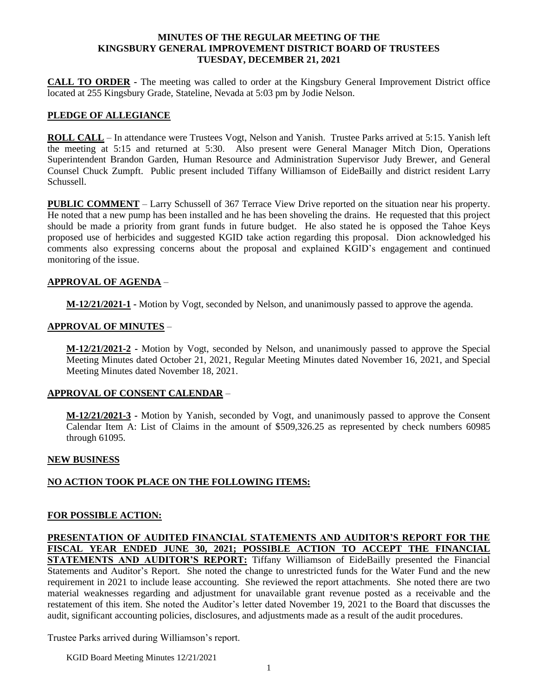#### **MINUTES OF THE REGULAR MEETING OF THE KINGSBURY GENERAL IMPROVEMENT DISTRICT BOARD OF TRUSTEES TUESDAY, DECEMBER 21, 2021**

**CALL TO ORDER -** The meeting was called to order at the Kingsbury General Improvement District office located at 255 Kingsbury Grade, Stateline, Nevada at 5:03 pm by Jodie Nelson.

# **PLEDGE OF ALLEGIANCE**

**ROLL CALL** – In attendance were Trustees Vogt, Nelson and Yanish. Trustee Parks arrived at 5:15. Yanish left the meeting at 5:15 and returned at 5:30. Also present were General Manager Mitch Dion, Operations Superintendent Brandon Garden, Human Resource and Administration Supervisor Judy Brewer, and General Counsel Chuck Zumpft. Public present included Tiffany Williamson of EideBailly and district resident Larry Schussell.

**PUBLIC COMMENT** – Larry Schussell of 367 Terrace View Drive reported on the situation near his property. He noted that a new pump has been installed and he has been shoveling the drains. He requested that this project should be made a priority from grant funds in future budget. He also stated he is opposed the Tahoe Keys proposed use of herbicides and suggested KGID take action regarding this proposal. Dion acknowledged his comments also expressing concerns about the proposal and explained KGID's engagement and continued monitoring of the issue.

#### **APPROVAL OF AGENDA** –

**M-12/21/2021-1 -** Motion by Vogt, seconded by Nelson, and unanimously passed to approve the agenda.

#### **APPROVAL OF MINUTES** –

**M-12/21/2021-2 -** Motion by Vogt, seconded by Nelson, and unanimously passed to approve the Special Meeting Minutes dated October 21, 2021, Regular Meeting Minutes dated November 16, 2021, and Special Meeting Minutes dated November 18, 2021.

#### **APPROVAL OF CONSENT CALENDAR** –

**M-12/21/2021-3 -** Motion by Yanish, seconded by Vogt, and unanimously passed to approve the Consent Calendar Item A: List of Claims in the amount of \$509,326.25 as represented by check numbers 60985 through 61095.

#### **NEW BUSINESS**

# **NO ACTION TOOK PLACE ON THE FOLLOWING ITEMS:**

#### **FOR POSSIBLE ACTION:**

**PRESENTATION OF AUDITED FINANCIAL STATEMENTS AND AUDITOR'S REPORT FOR THE FISCAL YEAR ENDED JUNE 30, 2021; POSSIBLE ACTION TO ACCEPT THE FINANCIAL STATEMENTS AND AUDITOR'S REPORT:** Tiffany Williamson of EideBailly presented the Financial Statements and Auditor's Report. She noted the change to unrestricted funds for the Water Fund and the new requirement in 2021 to include lease accounting. She reviewed the report attachments. She noted there are two material weaknesses regarding and adjustment for unavailable grant revenue posted as a receivable and the restatement of this item. She noted the Auditor's letter dated November 19, 2021 to the Board that discusses the audit, significant accounting policies, disclosures, and adjustments made as a result of the audit procedures.

Trustee Parks arrived during Williamson's report.

KGID Board Meeting Minutes 12/21/2021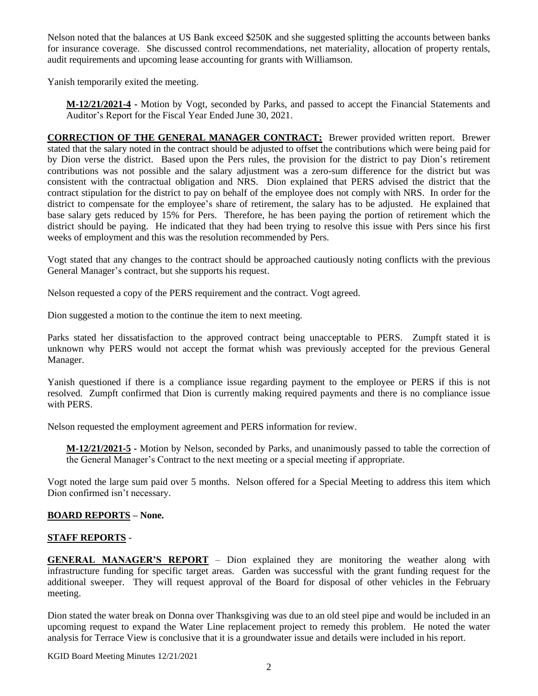Nelson noted that the balances at US Bank exceed \$250K and she suggested splitting the accounts between banks for insurance coverage. She discussed control recommendations, net materiality, allocation of property rentals, audit requirements and upcoming lease accounting for grants with Williamson.

Yanish temporarily exited the meeting.

**M-12/21/2021-4 -** Motion by Vogt, seconded by Parks, and passed to accept the Financial Statements and Auditor's Report for the Fiscal Year Ended June 30, 2021.

**CORRECTION OF THE GENERAL MANAGER CONTRACT:** Brewer provided written report. Brewer stated that the salary noted in the contract should be adjusted to offset the contributions which were being paid for by Dion verse the district. Based upon the Pers rules, the provision for the district to pay Dion's retirement contributions was not possible and the salary adjustment was a zero-sum difference for the district but was consistent with the contractual obligation and NRS. Dion explained that PERS advised the district that the contract stipulation for the district to pay on behalf of the employee does not comply with NRS. In order for the district to compensate for the employee's share of retirement, the salary has to be adjusted. He explained that base salary gets reduced by 15% for Pers. Therefore, he has been paying the portion of retirement which the district should be paying. He indicated that they had been trying to resolve this issue with Pers since his first weeks of employment and this was the resolution recommended by Pers.

Vogt stated that any changes to the contract should be approached cautiously noting conflicts with the previous General Manager's contract, but she supports his request.

Nelson requested a copy of the PERS requirement and the contract. Vogt agreed.

Dion suggested a motion to the continue the item to next meeting.

Parks stated her dissatisfaction to the approved contract being unacceptable to PERS. Zumpft stated it is unknown why PERS would not accept the format whish was previously accepted for the previous General Manager.

Yanish questioned if there is a compliance issue regarding payment to the employee or PERS if this is not resolved. Zumpft confirmed that Dion is currently making required payments and there is no compliance issue with PERS.

Nelson requested the employment agreement and PERS information for review.

**M-12/21/2021-5 -** Motion by Nelson, seconded by Parks, and unanimously passed to table the correction of the General Manager's Contract to the next meeting or a special meeting if appropriate.

Vogt noted the large sum paid over 5 months. Nelson offered for a Special Meeting to address this item which Dion confirmed isn't necessary.

# **BOARD REPORTS – None.**

# **STAFF REPORTS** -

**GENERAL MANAGER'S REPORT** – Dion explained they are monitoring the weather along with infrastructure funding for specific target areas. Garden was successful with the grant funding request for the additional sweeper. They will request approval of the Board for disposal of other vehicles in the February meeting.

Dion stated the water break on Donna over Thanksgiving was due to an old steel pipe and would be included in an upcoming request to expand the Water Line replacement project to remedy this problem. He noted the water analysis for Terrace View is conclusive that it is a groundwater issue and details were included in his report.

KGID Board Meeting Minutes 12/21/2021